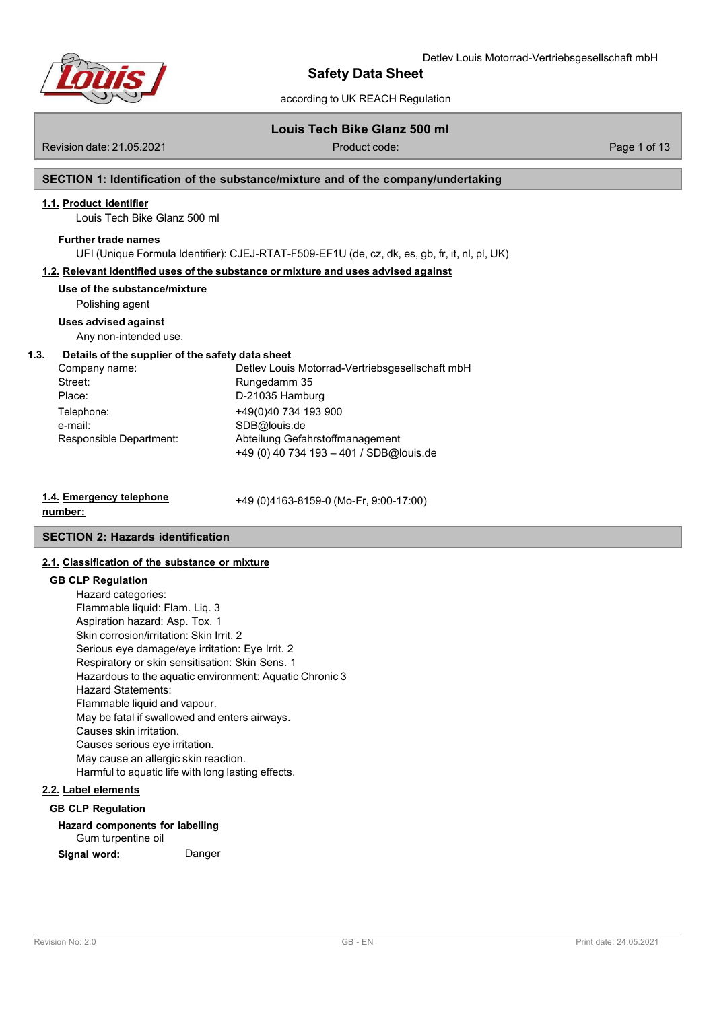

# according to UK REACH Regulation

## **Louis Tech Bike Glanz 500 ml**

Revision date: 21.05.2021 Product code: Page 1 of 13

# **SECTION 1: Identification of the substance/mixture and of the company/undertaking**

### **1.1. Product identifier**

Louis Tech Bike Glanz 500 ml

#### **Further trade names**

UFI (Unique Formula Identifier): CJEJ-RTAT-F509-EF1U (de, cz, dk, es, gb, fr, it, nl, pl, UK)

### **1.2. Relevant identified uses of the substance or mixture and uses advised against**

**Use of the substance/mixture**

Polishing agent

### **Uses advised against**

Any non-intended use.

# **1.3. Details of the supplier of the safety data sheet**

| Company name:           | Detlev Louis Motorrad-Vertriebsgesellschaft mbH |
|-------------------------|-------------------------------------------------|
| Street:                 | Rungedamm 35                                    |
| Place:                  | D-21035 Hamburg                                 |
| Telephone:              | +49(0)40 734 193 900                            |
| e-mail:                 | SDB@louis.de                                    |
| Responsible Department: | Abteilung Gefahrstoffmanagement                 |
|                         | +49 (0) 40 734 193 - 401 / SDB@louis.de         |

# **1.4. Emergency telephone**

+49 (0)4163-8159-0 (Mo-Fr, 9:00-17:00)

#### **number:**

# **SECTION 2: Hazards identification**

# **2.1. Classification of the substance or mixture**

#### **GB CLP Regulation**

Hazard categories: Flammable liquid: Flam. Liq. 3 Aspiration hazard: Asp. Tox. 1 Skin corrosion/irritation: Skin Irrit. 2 Serious eye damage/eye irritation: Eye Irrit. 2 Respiratory or skin sensitisation: Skin Sens. 1 Hazardous to the aquatic environment: Aquatic Chronic 3 Hazard Statements: Flammable liquid and vapour. May be fatal if swallowed and enters airways. Causes skin irritation. Causes serious eye irritation. May cause an allergic skin reaction. Harmful to aquatic life with long lasting effects.

# **2.2. Label elements**

# **GB CLP Regulation**

# **Hazard components for labelling**

Gum turpentine oil

**Signal word:** Danger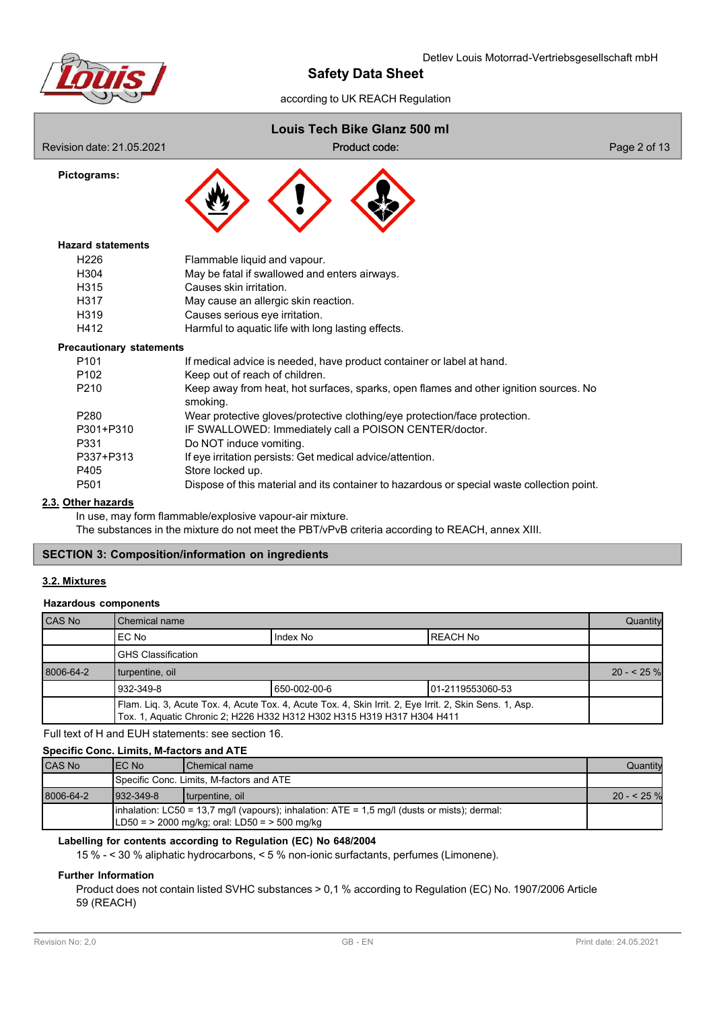

# according to UK REACH Regulation

# **Louis Tech Bike Glanz 500 ml**

Revision date: 21.05.2021 code: Product code: Product code: Page 2 of 13

**Pictograms:**

Product code:



# **Hazard statements**

| H <sub>226</sub> | Flammable liquid and vapour.                       |
|------------------|----------------------------------------------------|
| H304             | May be fatal if swallowed and enters airways.      |
| H315             | Causes skin irritation.                            |
| H317             | May cause an allergic skin reaction.               |
| H319             | Causes serious eye irritation.                     |
| H412             | Harmful to aquatic life with long lasting effects. |

### **Precautionary statements**

| P <sub>101</sub> | If medical advice is needed, have product container or label at hand.                             |
|------------------|---------------------------------------------------------------------------------------------------|
| P <sub>102</sub> | Keep out of reach of children.                                                                    |
| P <sub>210</sub> | Keep away from heat, hot surfaces, sparks, open flames and other ignition sources. No<br>smoking. |
| P <sub>280</sub> | Wear protective gloves/protective clothing/eye protection/face protection.                        |
| P301+P310        | IF SWALLOWED: Immediately call a POISON CENTER/doctor.                                            |
| P331             | Do NOT induce vomiting.                                                                           |
| P337+P313        | If eye irritation persists: Get medical advice/attention.                                         |
| P405             | Store locked up.                                                                                  |
| P <sub>501</sub> | Dispose of this material and its container to hazardous or special waste collection point.        |

### **2.3. Other hazards**

In use, may form flammable/explosive vapour-air mixture. The substances in the mixture do not meet the PBT/vPvB criteria according to REACH, annex XIII.

# **SECTION 3: Composition/information on ingredients**

### **3.2. Mixtures**

#### **Hazardous components**

| <b>CAS No</b> | Chemical name                                                                                                                                                                      |  |  |  |  |  |
|---------------|------------------------------------------------------------------------------------------------------------------------------------------------------------------------------------|--|--|--|--|--|
|               | Index No<br>EC No<br>REACH No                                                                                                                                                      |  |  |  |  |  |
|               | <b>GHS Classification</b>                                                                                                                                                          |  |  |  |  |  |
| 8006-64-2     | turpentine, oil                                                                                                                                                                    |  |  |  |  |  |
|               | 932-349-8<br>650-002-00-6<br>01-2119553060-53                                                                                                                                      |  |  |  |  |  |
|               | Flam. Liq. 3, Acute Tox. 4, Acute Tox. 4, Acute Tox. 4, Skin Irrit. 2, Eye Irrit. 2, Skin Sens. 1, Asp.<br>Tox. 1, Aquatic Chronic 2; H226 H332 H312 H302 H315 H319 H317 H304 H411 |  |  |  |  |  |

Full text of H and EUH statements: see section 16.

# **Specific Conc. Limits, M-factors and ATE**

| CAS No    | IEC No           | Chemical name                                                                                    | Quantity   |
|-----------|------------------|--------------------------------------------------------------------------------------------------|------------|
|           |                  | Specific Conc. Limits, M-factors and ATE                                                         |            |
| 8006-64-2 | $1932 - 349 - 8$ | turpentine, oil                                                                                  | $20 - 525$ |
|           |                  | Inhalation: $LC50 = 13.7$ mg/l (vapours); inhalation: $ATE = 1.5$ mg/l (dusts or mists); dermal: |            |
|           |                  | $LD50 =$ > 2000 mg/kg; oral: LD50 = > 500 mg/kg                                                  |            |

### **Labelling for contents according to Regulation (EC) No 648/2004**

15 % - < 30 % aliphatic hydrocarbons, < 5 % non-ionic surfactants, perfumes (Limonene).

# **Further Information**

Product does not contain listed SVHC substances > 0,1 % according to Regulation (EC) No. 1907/2006 Article 59 (REACH)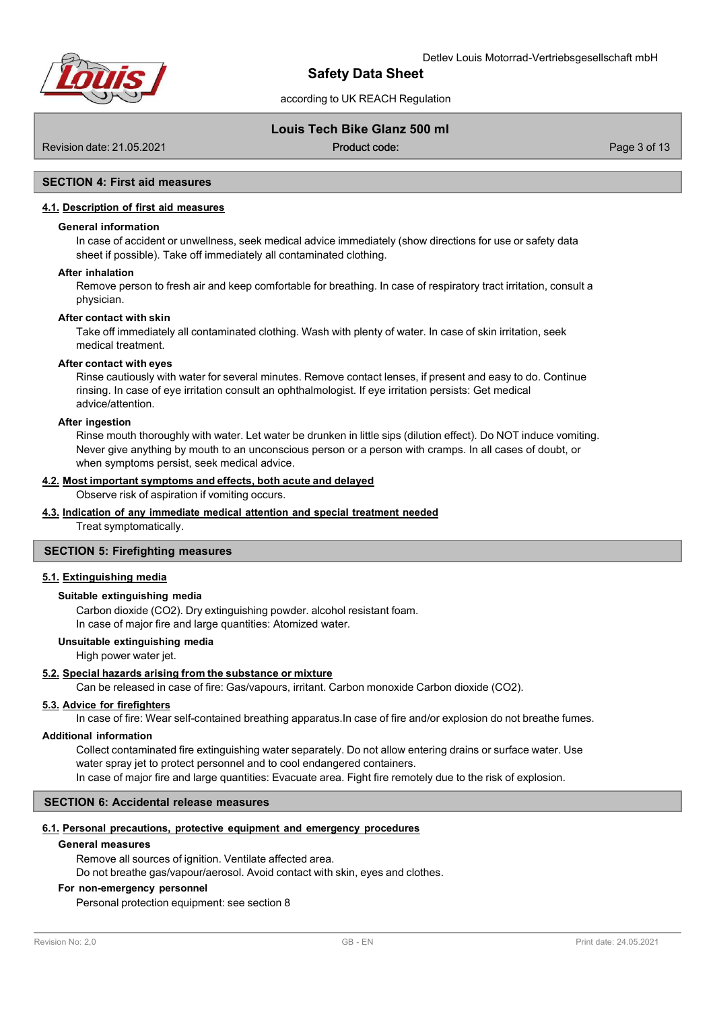

# according to UK REACH Regulation

# **Louis Tech Bike Glanz 500 ml**

Revision date: 21.05.2021 code: Product code: Product code: Page 3 of 13

Product code:

# **SECTION 4: First aid measures**

# **4.1. Description of first aid measures**

#### **General information**

In case of accident or unwellness, seek medical advice immediately (show directions for use or safety data sheet if possible). Take off immediately all contaminated clothing.

#### **After inhalation**

Remove person to fresh air and keep comfortable for breathing. In case of respiratory tract irritation, consult a physician.

#### **After contact with skin**

Take off immediately all contaminated clothing. Wash with plenty of water. In case of skin irritation, seek medical treatment.

### **After contact with eyes**

Rinse cautiously with water for several minutes. Remove contact lenses, if present and easy to do. Continue rinsing. In case of eye irritation consult an ophthalmologist. If eye irritation persists: Get medical advice/attention.

#### **After ingestion**

Rinse mouth thoroughly with water. Let water be drunken in little sips (dilution effect). Do NOT induce vomiting. Never give anything by mouth to an unconscious person or a person with cramps. In all cases of doubt, or when symptoms persist, seek medical advice.

### **4.2. Most important symptoms and effects, both acute and delayed**

Observe risk of aspiration if vomiting occurs.

#### **4.3. Indication of any immediate medical attention and special treatment needed**

Treat symptomatically.

### **SECTION 5: Firefighting measures**

# **5.1. Extinguishing media**

### **Suitable extinguishing media**

Carbon dioxide (CO2). Dry extinguishing powder. alcohol resistant foam. In case of major fire and large quantities: Atomized water.

#### **Unsuitable extinguishing media**

High power water jet.

#### **5.2. Special hazards arising from the substance or mixture**

Can be released in case of fire: Gas/vapours, irritant. Carbon monoxide Carbon dioxide (CO2).

### **5.3. Advice for firefighters**

In case of fire: Wear self-contained breathing apparatus.In case of fire and/or explosion do not breathe fumes.

# **Additional information**

Collect contaminated fire extinguishing water separately. Do not allow entering drains or surface water. Use water spray jet to protect personnel and to cool endangered containers. In case of major fire and large quantities: Evacuate area. Fight fire remotely due to the risk of explosion.

# **SECTION 6: Accidental release measures**

#### **6.1. Personal precautions, protective equipment and emergency procedures**

#### **General measures**

Remove all sources of ignition. Ventilate affected area. Do not breathe gas/vapour/aerosol. Avoid contact with skin, eyes and clothes.

#### **For non-emergency personnel**

Personal protection equipment: see section 8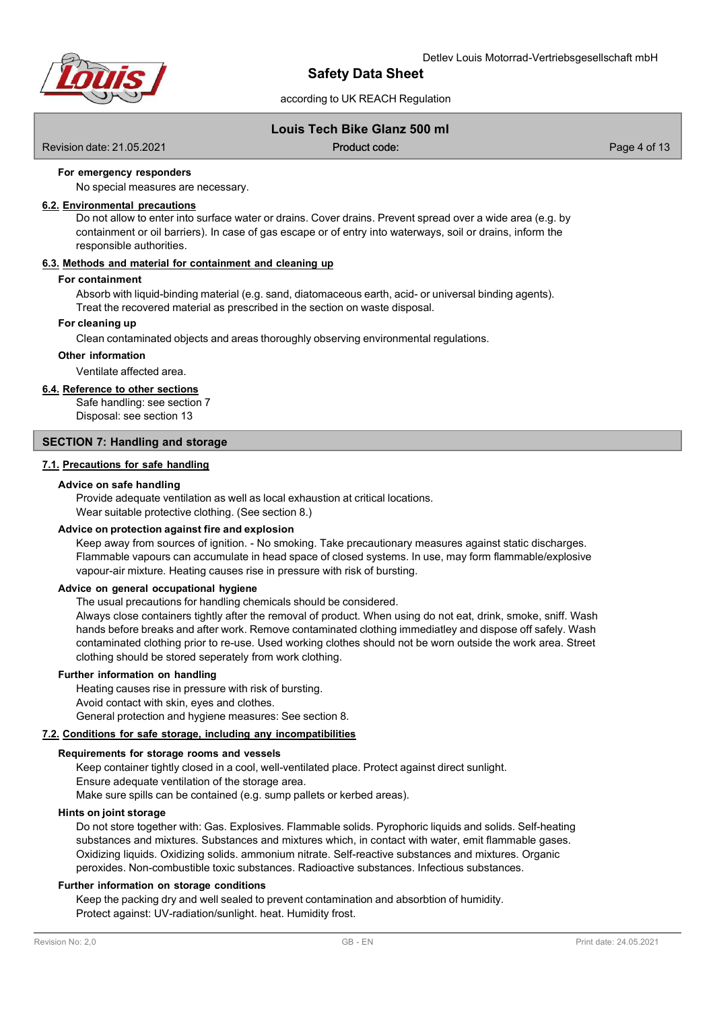

# according to UK REACH Regulation

# **Louis Tech Bike Glanz 500 ml**

Revision date: 21.05.2021 code: Product code: Product code: Page 4 of 13

Product code:

### **For emergency responders**

No special measures are necessary.

### **6.2. Environmental precautions**

Do not allow to enter into surface water or drains. Cover drains. Prevent spread over a wide area (e.g. by containment or oil barriers). In case of gas escape or of entry into waterways, soil or drains, inform the responsible authorities.

#### **6.3. Methods and material for containment and cleaning up**

#### **For containment**

Absorb with liquid-binding material (e.g. sand, diatomaceous earth, acid- or universal binding agents). Treat the recovered material as prescribed in the section on waste disposal.

#### **For cleaning up**

Clean contaminated objects and areas thoroughly observing environmental regulations.

# **Other information**

Ventilate affected area.

# **6.4. Reference to other sections**

Safe handling: see section 7 Disposal: see section 13

### **SECTION 7: Handling and storage**

### **7.1. Precautions for safe handling**

#### **Advice on safe handling**

Provide adequate ventilation as well as local exhaustion at critical locations. Wear suitable protective clothing. (See section 8.)

### **Advice on protection against fire and explosion**

Keep away from sources of ignition. - No smoking. Take precautionary measures against static discharges. Flammable vapours can accumulate in head space of closed systems. In use, may form flammable/explosive vapour-air mixture. Heating causes rise in pressure with risk of bursting.

#### **Advice on general occupational hygiene**

The usual precautions for handling chemicals should be considered.

Always close containers tightly after the removal of product. When using do not eat, drink, smoke, sniff. Wash hands before breaks and after work. Remove contaminated clothing immediatley and dispose off safely. Wash contaminated clothing prior to re-use. Used working clothes should not be worn outside the work area. Street clothing should be stored seperately from work clothing.

# **Further information on handling**

Heating causes rise in pressure with risk of bursting. Avoid contact with skin, eyes and clothes. General protection and hygiene measures: See section 8.

### **7.2. Conditions for safe storage, including any incompatibilities**

### **Requirements for storage rooms and vessels**

Keep container tightly closed in a cool, well-ventilated place. Protect against direct sunlight. Ensure adequate ventilation of the storage area.

Make sure spills can be contained (e.g. sump pallets or kerbed areas).

#### **Hints on joint storage**

Do not store together with: Gas. Explosives. Flammable solids. Pyrophoric liquids and solids. Self-heating substances and mixtures. Substances and mixtures which, in contact with water, emit flammable gases. Oxidizing liquids. Oxidizing solids. ammonium nitrate. Self-reactive substances and mixtures. Organic peroxides. Non-combustible toxic substances. Radioactive substances. Infectious substances.

### **Further information on storage conditions**

Keep the packing dry and well sealed to prevent contamination and absorbtion of humidity. Protect against: UV-radiation/sunlight. heat. Humidity frost.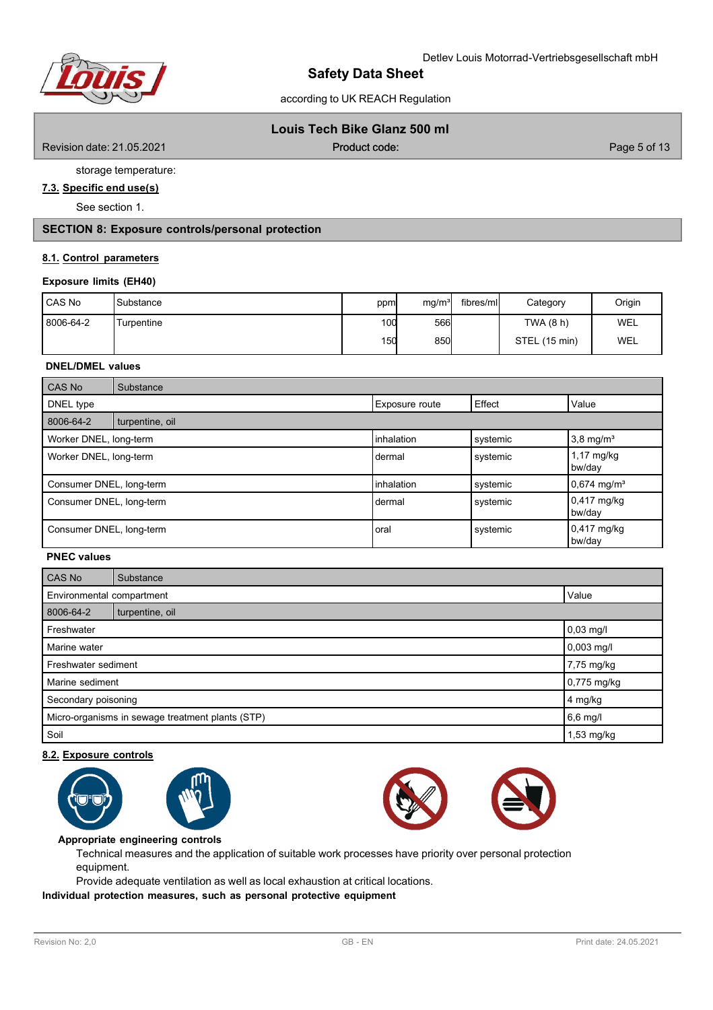

# Detlev Louis Motorrad-Vertriebsgesellschaft mbH

# **Safety Data Sheet**

according to UK REACH Regulation

# **Louis Tech Bike Glanz 500 ml**

Revision date: 21.05.2021 **Contract Contract Contract Contract Contract Contract Contract Contract Contract Contract Contract Contract Contract Contract Contract Contract Contract Contract Contract Contract Contract Contra** 

Product code:

storage temperature:

# **7.3. Specific end use(s)**

See section 1.

**SECTION 8: Exposure controls/personal protection**

# **8.1. Control parameters**

# **Exposure limits (EH40)**

| CAS No    | Substance  | ppm | mq/m <sup>3</sup> | fibres/ml | Category      | Origin |
|-----------|------------|-----|-------------------|-----------|---------------|--------|
| 8006-64-2 | Turpentine | 100 | 566               |           | TWA (8 h)     | WEL    |
|           |            | 150 | 850               |           | STEL (15 min) | WEL    |

# **DNEL/DMEL values**

| <b>CAS No</b>            | Substance       |                       |          |                                |
|--------------------------|-----------------|-----------------------|----------|--------------------------------|
| DNEL type                |                 | <b>Exposure route</b> | Effect   | Value                          |
| 8006-64-2                | turpentine, oil |                       |          |                                |
| Worker DNEL, long-term   |                 | inhalation            | systemic | $3,8$ mg/m <sup>3</sup>        |
| Worker DNEL, long-term   |                 | dermal                | systemic | $1,17 \text{ mg/kg}$<br>bw/day |
| Consumer DNEL, long-term |                 | inhalation            | systemic | $0,674$ mg/m <sup>3</sup>      |
| Consumer DNEL, long-term |                 | dermal                | systemic | 0,417 mg/kg<br>bw/day          |
| Consumer DNEL, long-term |                 | oral                  | systemic | $0,417$ mg/kg<br>bw/day        |

# **PNEC values**

| CAS No                                           | Substance       |  |  |  |  |  |
|--------------------------------------------------|-----------------|--|--|--|--|--|
| Environmental compartment<br>Value               |                 |  |  |  |  |  |
| 8006-64-2                                        | turpentine, oil |  |  |  |  |  |
| Freshwater                                       | $0,03$ mg/l     |  |  |  |  |  |
| Marine water                                     | $0,003$ mg/l    |  |  |  |  |  |
| Freshwater sediment                              | 7,75 mg/kg      |  |  |  |  |  |
| Marine sediment<br>$0,775$ mg/kg                 |                 |  |  |  |  |  |
| Secondary poisoning                              | 4 mg/kg         |  |  |  |  |  |
| Micro-organisms in sewage treatment plants (STP) | 6,6 mg/l        |  |  |  |  |  |
| Soil                                             | 1,53 mg/kg      |  |  |  |  |  |

# **8.2. Exposure controls**









**Appropriate engineering controls**

Technical measures and the application of suitable work processes have priority over personal protection equipment.

Provide adequate ventilation as well as local exhaustion at critical locations.

**Individual protection measures, such as personal protective equipment**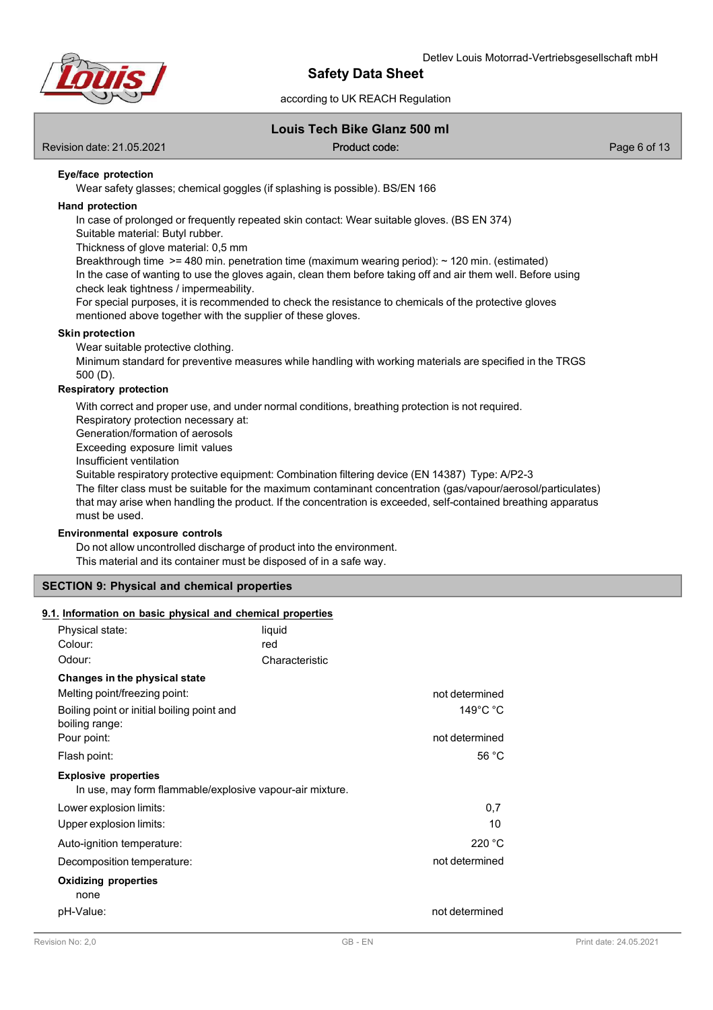

# according to UK REACH Regulation

# **Louis Tech Bike Glanz 500 ml**

Revision date: 21.05.2021 code: Product code: Product code: Page 6 of 13

Product code:

### **Eye/face protection**

Wear safety glasses; chemical goggles (if splashing is possible). BS/EN 166

#### **Hand protection**

In case of prolonged or frequently repeated skin contact: Wear suitable gloves. (BS EN 374)

Suitable material: Butyl rubber.

Thickness of glove material: 0,5 mm

Breakthrough time  $>=$  480 min. penetration time (maximum wearing period):  $\sim$  120 min. (estimated) In the case of wanting to use the gloves again, clean them before taking off and air them well. Before using check leak tightness / impermeability.

For special purposes, it is recommended to check the resistance to chemicals of the protective gloves mentioned above together with the supplier of these gloves.

### **Skin protection**

Wear suitable protective clothing.

Minimum standard for preventive measures while handling with working materials are specified in the TRGS 500 (D).

# **Respiratory protection**

With correct and proper use, and under normal conditions, breathing protection is not required.

Respiratory protection necessary at:

Generation/formation of aerosols

Exceeding exposure limit values

Insufficient ventilation

Suitable respiratory protective equipment: Combination filtering device (EN 14387) Type: A/P2-3

The filter class must be suitable for the maximum contaminant concentration (gas/vapour/aerosol/particulates) that may arise when handling the product. If the concentration is exceeded, self-contained breathing apparatus must be used.

### **Environmental exposure controls**

Do not allow uncontrolled discharge of product into the environment. This material and its container must be disposed of in a safe way.

# **SECTION 9: Physical and chemical properties**

#### **9.1. Information on basic physical and chemical properties**

| Physical state:                                                                         | liquid         |                              |
|-----------------------------------------------------------------------------------------|----------------|------------------------------|
| Colour:                                                                                 | red            |                              |
| Odour:                                                                                  | Characteristic |                              |
| Changes in the physical state                                                           |                |                              |
| Melting point/freezing point:                                                           |                | not determined               |
| Boiling point or initial boiling point and<br>boiling range:                            |                | $149^{\circ}$ C $^{\circ}$ C |
| Pour point:                                                                             |                | not determined               |
| Flash point:                                                                            |                | 56 $°C$                      |
| <b>Explosive properties</b><br>In use, may form flammable/explosive vapour-air mixture. |                |                              |
| Lower explosion limits:                                                                 |                | 0,7                          |
| Upper explosion limits:                                                                 |                | 10                           |
| Auto-ignition temperature:                                                              |                | 220 °C                       |
| Decomposition temperature:                                                              |                | not determined               |
| <b>Oxidizing properties</b>                                                             |                |                              |
| none                                                                                    |                |                              |
| pH-Value:                                                                               |                | not determined               |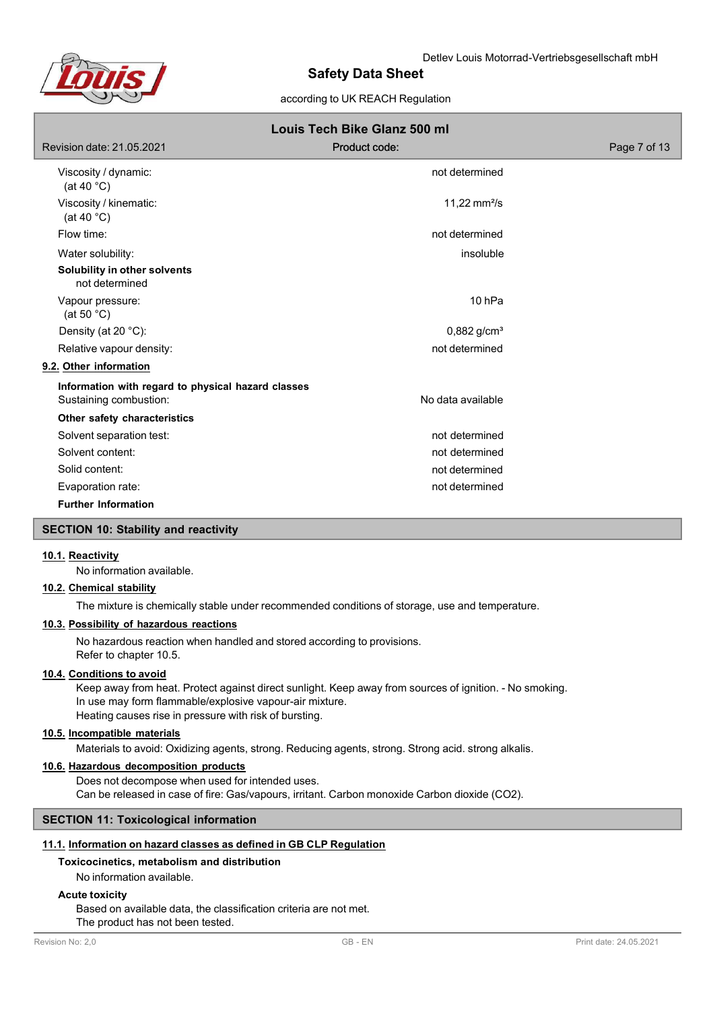

# according to UK REACH Regulation

| Louis Tech Bike Glanz 500 ml                       |                           |              |  |  |  |  |
|----------------------------------------------------|---------------------------|--------------|--|--|--|--|
| Revision date: 21.05.2021                          | Product code:             | Page 7 of 13 |  |  |  |  |
| Viscosity / dynamic:<br>(at 40 $^{\circ}$ C)       | not determined            |              |  |  |  |  |
| Viscosity / kinematic:<br>(at 40 $^{\circ}$ C)     | 11,22 $mm2/s$             |              |  |  |  |  |
| Flow time:                                         | not determined            |              |  |  |  |  |
| Water solubility:                                  | insoluble                 |              |  |  |  |  |
| Solubility in other solvents<br>not determined     |                           |              |  |  |  |  |
| Vapour pressure:<br>(at 50 $^{\circ}$ C)           | 10 <sub>hPa</sub>         |              |  |  |  |  |
| Density (at 20 °C):                                | $0,882$ g/cm <sup>3</sup> |              |  |  |  |  |
| Relative vapour density:                           | not determined            |              |  |  |  |  |
| 9.2. Other information                             |                           |              |  |  |  |  |
| Information with regard to physical hazard classes |                           |              |  |  |  |  |
| Sustaining combustion:                             | No data available         |              |  |  |  |  |
| Other safety characteristics                       |                           |              |  |  |  |  |
| Solvent separation test:                           | not determined            |              |  |  |  |  |
| Solvent content:                                   | not determined            |              |  |  |  |  |
| Solid content:                                     | not determined            |              |  |  |  |  |
| Evaporation rate:                                  | not determined            |              |  |  |  |  |
| <b>Further Information</b>                         |                           |              |  |  |  |  |

# **SECTION 10: Stability and reactivity**

# **10.1. Reactivity**

No information available.

# **10.2. Chemical stability**

The mixture is chemically stable under recommended conditions of storage, use and temperature.

# **10.3. Possibility of hazardous reactions**

No hazardous reaction when handled and stored according to provisions. Refer to chapter 10.5.

# **10.4. Conditions to avoid**

Keep away from heat. Protect against direct sunlight. Keep away from sources of ignition. - No smoking. In use may form flammable/explosive vapour-air mixture. Heating causes rise in pressure with risk of bursting.

# **10.5. Incompatible materials**

Materials to avoid: Oxidizing agents, strong. Reducing agents, strong. Strong acid. strong alkalis.

# **10.6. Hazardous decomposition products**

Does not decompose when used for intended uses. Can be released in case of fire: Gas/vapours, irritant. Carbon monoxide Carbon dioxide (CO2).

### **SECTION 11: Toxicological information**

### **11.1. Information on hazard classes as defined in GB CLP Regulation**

# **Toxicocinetics, metabolism and distribution**

No information available.

### **Acute toxicity**

Based on available data, the classification criteria are not met. The product has not been tested.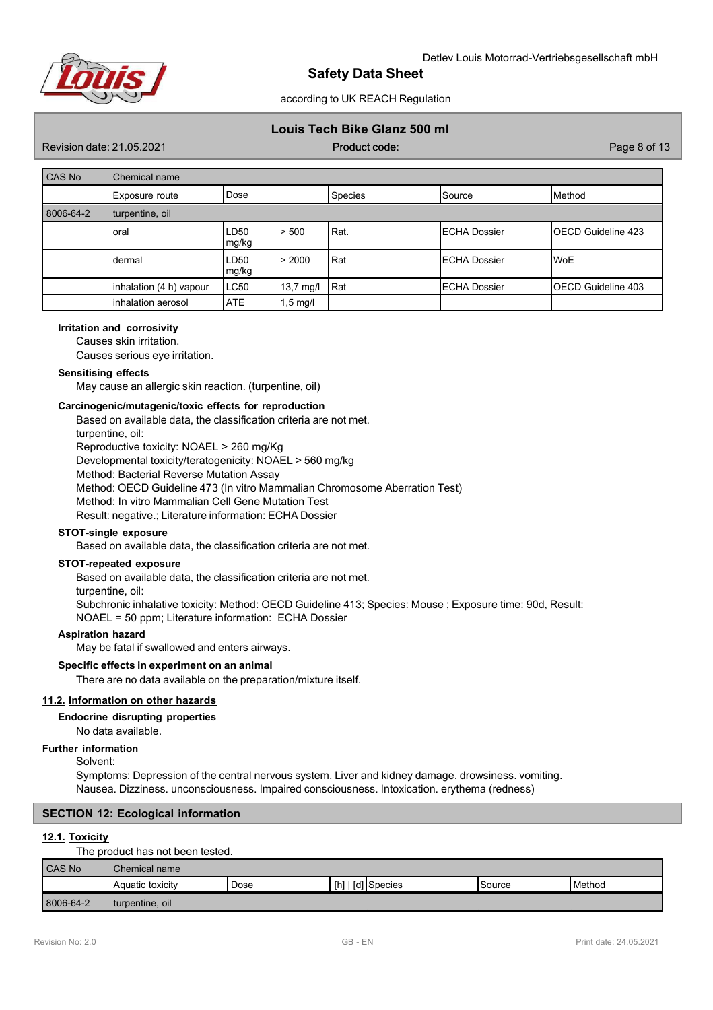

according to UK REACH Regulation

# **Louis Tech Bike Glanz 500 ml**

Revision date: 21.05.2021 code: Product code: Product code: Page 8 of 13

Product code:

| CAS No    | Chemical name           |               |                     |            |                     |                           |  |  |
|-----------|-------------------------|---------------|---------------------|------------|---------------------|---------------------------|--|--|
|           | Exposure route          | Dose          |                     | Species    | Source              | Method                    |  |  |
| 8006-64-2 | turpentine, oil         |               |                     |            |                     |                           |  |  |
|           | oral                    | LD50<br>mg/kg | > 500               | Rat.       | <b>ECHA Dossier</b> | <b>OECD Guideline 423</b> |  |  |
|           | dermal                  | LD50<br>mg/kg | > 2000              | <b>Rat</b> | <b>ECHA Dossier</b> | <b>WoE</b>                |  |  |
|           | inhalation (4 h) vapour | LC50          | $13,7 \text{ mg/l}$ | Rat        | <b>ECHA Dossier</b> | <b>OECD Guideline 403</b> |  |  |
|           | inhalation aerosol      | <b>ATE</b>    | $1,5 \text{ mg/l}$  |            |                     |                           |  |  |

#### **Irritation and corrosivity**

Causes skin irritation.

Causes serious eye irritation.

# **Sensitising effects**

May cause an allergic skin reaction. (turpentine, oil)

#### **Carcinogenic/mutagenic/toxic effects for reproduction**

Based on available data, the classification criteria are not met. turpentine, oil: Reproductive toxicity: NOAEL > 260 mg/Kg

Developmental toxicity/teratogenicity: NOAEL > 560 mg/kg

Method: Bacterial Reverse Mutation Assay

Method: OECD Guideline 473 (In vitro Mammalian Chromosome Aberration Test)

Method: In vitro Mammalian Cell Gene Mutation Test

Result: negative.; Literature information: ECHA Dossier

### **STOT-single exposure**

Based on available data, the classification criteria are not met.

#### **STOT-repeated exposure**

Based on available data, the classification criteria are not met.

turpentine, oil:

Subchronic inhalative toxicity: Method: OECD Guideline 413; Species: Mouse ; Exposure time: 90d, Result: NOAEL = 50 ppm; Literature information: ECHA Dossier

#### **Aspiration hazard**

May be fatal if swallowed and enters airways.

### **Specific effects in experiment on an animal**

There are no data available on the preparation/mixture itself.

#### **11.2. Information on other hazards**

#### **Endocrine disrupting properties**

No data available.

### **Further information**

Solvent:

Symptoms: Depression of the central nervous system. Liver and kidney damage. drowsiness. vomiting. Nausea. Dizziness. unconsciousness. Impaired consciousness. Intoxication. erythema (redness)

### **SECTION 12: Ecological information**

#### **12.1. Toxicity**

The product has not been tested.

| CAS No    | Chemical name    |      |                   |         |        |
|-----------|------------------|------|-------------------|---------|--------|
|           | Aquatic toxicity | Dose | [h]   [d] Species | 'Source | Method |
| 8006-64-2 | turpentine, oil  |      |                   |         |        |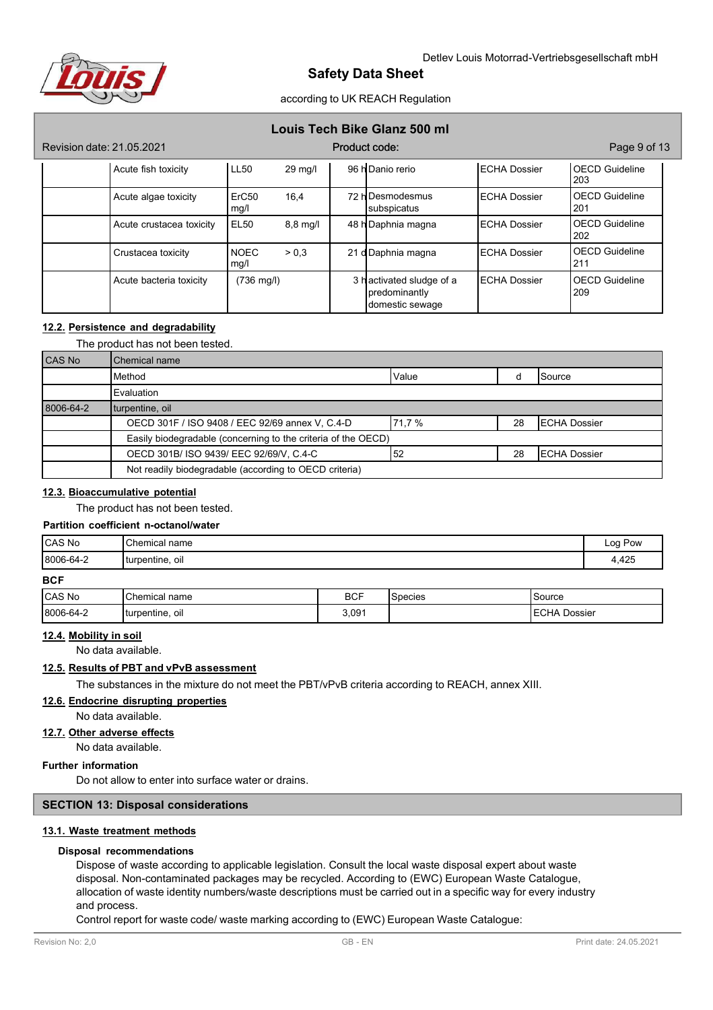

according to UK REACH Regulation

| Louis Tech Bike Glanz 500 ml |  |  |  |  |  |  |
|------------------------------|--|--|--|--|--|--|
|------------------------------|--|--|--|--|--|--|

| Revision date: 21.05.2021 |                           |                    | Product code: |                                                              |                     | Page 9 of 13                 |
|---------------------------|---------------------------|--------------------|---------------|--------------------------------------------------------------|---------------------|------------------------------|
| Acute fish toxicity       | <b>LL50</b>               | 29 mg/l            |               | 96 h Danio rerio                                             | <b>ECHA Dossier</b> | <b>OECD</b> Guideline<br>203 |
| Acute algae toxicity      | ErC <sub>50</sub><br>mg/l | 16,4               |               | 72 hDesmodesmus<br>subspicatus                               | <b>ECHA Dossier</b> | <b>OECD Guideline</b><br>201 |
| Acute crustacea toxicity  | <b>EL50</b>               | $8,8 \text{ mg/l}$ |               | 48 h Daphnia magna                                           | <b>ECHA Dossier</b> | <b>OECD Guideline</b><br>202 |
| Crustacea toxicity        | <b>NOEC</b><br>mg/l       | > 0.3              |               | 21 dDaphnia magna                                            | <b>ECHA Dossier</b> | <b>OECD</b> Guideline<br>211 |
| Acute bacteria toxicity   | $(736 \text{ mg/l})$      |                    |               | 3 hactivated sludge of a<br>predominantly<br>domestic sewage | <b>ECHA Dossier</b> | <b>OECD Guideline</b><br>209 |

# **12.2. Persistence and degradability**

The product has not been tested.

| <b>CAS No</b> | Chemical name                                                                          |  |  |  |
|---------------|----------------------------------------------------------------------------------------|--|--|--|
|               | Method<br>Value<br>Source                                                              |  |  |  |
|               | Evaluation                                                                             |  |  |  |
| 8006-64-2     | turpentine, oil                                                                        |  |  |  |
|               | OECD 301F / ISO 9408 / EEC 92/69 annex V, C.4-D<br>71.7 %<br><b>ECHA Dossier</b><br>28 |  |  |  |
|               | Easily biodegradable (concerning to the criteria of the OECD)                          |  |  |  |
|               | OECD 301B/ ISO 9439/ EEC 92/69/V, C.4-C<br>52<br>28<br><b>ECHA Dossier</b>             |  |  |  |
|               | Not readily biodegradable (according to OECD criteria)                                 |  |  |  |

# **12.3. Bioaccumulative potential**

The product has not been tested.

# **Partition coefficient n-octanol/water**

| CAS No    | Chemical<br>name  | Log Pow<br>$\cdot$ $\cdot$ |
|-----------|-------------------|----------------------------|
| 8006-64-2 | turpentine,<br>ΟI | 4,425                      |

**BCF**

| <b>CAS No</b> | Chemical name               | <b>BCF</b> | $\sqrt{2}$<br>Species | Source                 |
|---------------|-----------------------------|------------|-----------------------|------------------------|
| 8006-64-2     | turpentine,<br>ΟI<br>$\sim$ | 3,091      |                       | <b>ECHA</b><br>Dossier |

# **12.4. Mobility in soil**

No data available.

# **12.5. Results of PBT and vPvB assessment**

The substances in the mixture do not meet the PBT/vPvB criteria according to REACH, annex XIII.

### **12.6. Endocrine disrupting properties**

No data available.

**12.7. Other adverse effects**

No data available.

# **Further information**

Do not allow to enter into surface water or drains.

### **SECTION 13: Disposal considerations**

# **13.1. Waste treatment methods**

#### **Disposal recommendations**

Dispose of waste according to applicable legislation. Consult the local waste disposal expert about waste disposal. Non-contaminated packages may be recycled. According to (EWC) European Waste Catalogue, allocation of waste identity numbers/waste descriptions must be carried out in a specific way for every industry and process.

Control report for waste code/ waste marking according to (EWC) European Waste Catalogue: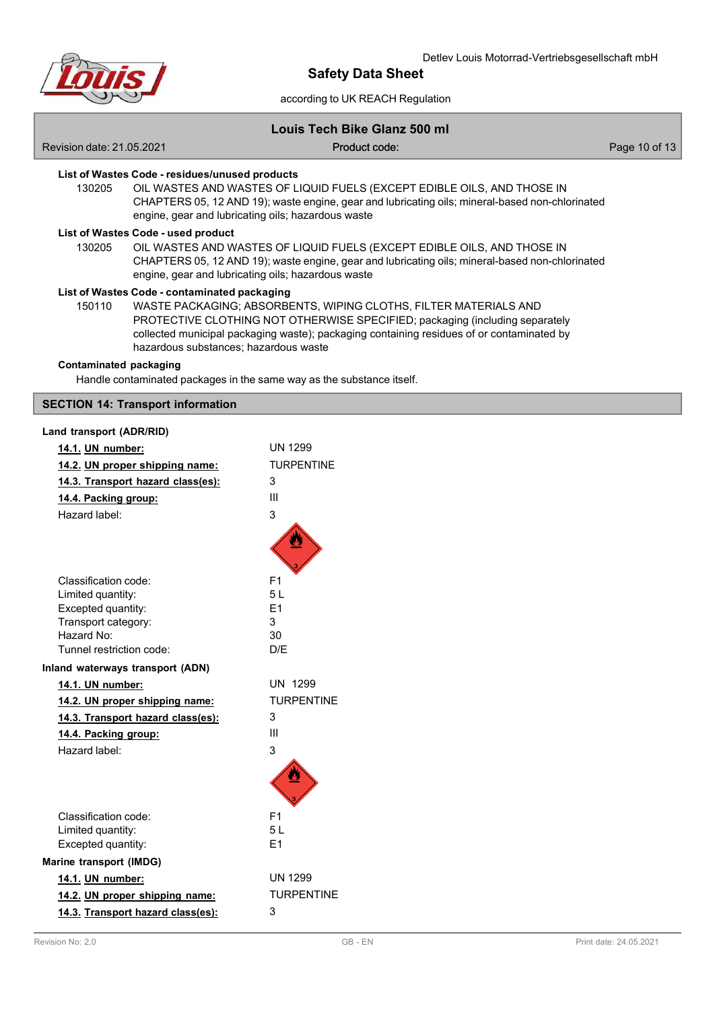

# according to UK REACH Regulation

# **Louis Tech Bike Glanz 500 ml**

Revision date: 21.05.2021 **Code:** Product code: Product code: Product code: Page 10 of 13

Product code:

#### **List of Wastes Code - residues/unused products**

130205 OIL WASTES AND WASTES OF LIQUID FUELS (EXCEPT EDIBLE OILS, AND THOSE IN CHAPTERS 05, 12 AND 19); waste engine, gear and lubricating oils; mineral-based non-chlorinated engine, gear and lubricating oils; hazardous waste

# **List of Wastes Code - used product**

130205 OIL WASTES AND WASTES OF LIQUID FUELS (EXCEPT EDIBLE OILS, AND THOSE IN CHAPTERS 05, 12 AND 19); waste engine, gear and lubricating oils; mineral-based non-chlorinated engine, gear and lubricating oils; hazardous waste

#### **List of Wastes Code - contaminated packaging**

150110 WASTE PACKAGING; ABSORBENTS, WIPING CLOTHS, FILTER MATERIALS AND PROTECTIVE CLOTHING NOT OTHERWISE SPECIFIED; packaging (including separately collected municipal packaging waste); packaging containing residues of or contaminated by hazardous substances; hazardous waste

# **Contaminated packaging**

Handle contaminated packages in the same way as the substance itself.

### **SECTION 14: Transport information**

| Land transport (ADR/RID)                    |                   |
|---------------------------------------------|-------------------|
| 14.1. UN number:                            | <b>UN 1299</b>    |
| 14.2. UN proper shipping name:              | <b>TURPENTINE</b> |
| 14.3. Transport hazard class(es):           | 3                 |
| 14.4. Packing group:                        | Ш                 |
| Hazard label:                               | 3                 |
|                                             |                   |
|                                             |                   |
|                                             |                   |
| Classification code:                        | F <sub>1</sub>    |
| Limited quantity:                           | 51                |
| Excepted quantity:                          | F <sub>1</sub>    |
| Transport category:                         | 3                 |
| Hazard No:                                  | 30                |
| Tunnel restriction code:                    | D/F               |
| Inland waterways transport (ADN)            |                   |
|                                             |                   |
| 14.1. UN number:                            | UN 1299           |
| 14.2. UN proper shipping name:              | <b>TURPENTINE</b> |
| 14.3. Transport hazard class(es):           | 3                 |
| 14.4. Packing group:                        | Ш                 |
| Hazard label:                               | 3                 |
|                                             |                   |
|                                             |                   |
|                                             |                   |
| Classification code:                        | F <sub>1</sub>    |
| Limited quantity:                           | 5L                |
| Excepted quantity:                          | F <sub>1</sub>    |
|                                             |                   |
| Marine transport (IMDG)<br>14.1. UN number: | <b>UN 1299</b>    |
| 14.2. UN proper shipping name:              | <b>TURPENTINE</b> |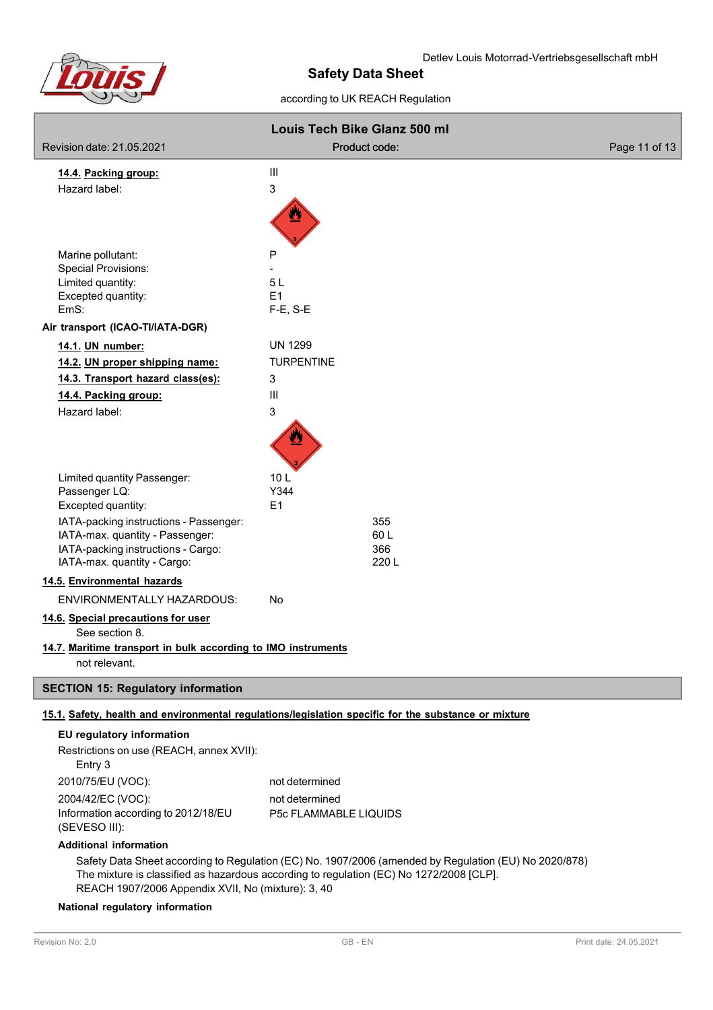

### Detlev Louis Motorrad-Vertriebsgesellschaft mbH

# **Safety Data Sheet**

according to UK REACH Regulation

|                                                                                                                                                                                                  | Louis Tech Bike Glanz 500 ml                                                                         |               |  |  |
|--------------------------------------------------------------------------------------------------------------------------------------------------------------------------------------------------|------------------------------------------------------------------------------------------------------|---------------|--|--|
| Revision date: 21.05.2021                                                                                                                                                                        | Product code:                                                                                        | Page 11 of 13 |  |  |
| 14.4. Packing group:                                                                                                                                                                             | $\mathsf{III}$                                                                                       |               |  |  |
| Hazard label:                                                                                                                                                                                    | 3                                                                                                    |               |  |  |
|                                                                                                                                                                                                  |                                                                                                      |               |  |  |
| Marine pollutant:                                                                                                                                                                                | P                                                                                                    |               |  |  |
| <b>Special Provisions:</b>                                                                                                                                                                       |                                                                                                      |               |  |  |
| Limited quantity:<br>Excepted quantity:                                                                                                                                                          | 5L<br>E1                                                                                             |               |  |  |
| EmS:                                                                                                                                                                                             | $F-E$ , S-E                                                                                          |               |  |  |
| Air transport (ICAO-TI/IATA-DGR)                                                                                                                                                                 |                                                                                                      |               |  |  |
| 14.1. UN number:                                                                                                                                                                                 | <b>UN 1299</b>                                                                                       |               |  |  |
| 14.2. UN proper shipping name:                                                                                                                                                                   | <b>TURPENTINE</b>                                                                                    |               |  |  |
| 14.3. Transport hazard class(es):                                                                                                                                                                | 3                                                                                                    |               |  |  |
| 14.4. Packing group:                                                                                                                                                                             | $\mathbf{III}$                                                                                       |               |  |  |
| Hazard label:                                                                                                                                                                                    | 3                                                                                                    |               |  |  |
|                                                                                                                                                                                                  |                                                                                                      |               |  |  |
| Limited quantity Passenger:                                                                                                                                                                      | 10L                                                                                                  |               |  |  |
| Passenger LQ:                                                                                                                                                                                    | Y344                                                                                                 |               |  |  |
| Excepted quantity:<br>IATA-packing instructions - Passenger:                                                                                                                                     | E <sub>1</sub><br>355                                                                                |               |  |  |
| IATA-max. quantity - Passenger:                                                                                                                                                                  | 60L                                                                                                  |               |  |  |
| IATA-packing instructions - Cargo:                                                                                                                                                               | 366                                                                                                  |               |  |  |
| IATA-max. quantity - Cargo:                                                                                                                                                                      | 220L                                                                                                 |               |  |  |
| 14.5. Environmental hazards                                                                                                                                                                      |                                                                                                      |               |  |  |
| <b>ENVIRONMENTALLY HAZARDOUS:</b>                                                                                                                                                                | No                                                                                                   |               |  |  |
| 14.6. Special precautions for user<br>See section 8.                                                                                                                                             |                                                                                                      |               |  |  |
| 14.7. Maritime transport in bulk according to IMO instruments                                                                                                                                    |                                                                                                      |               |  |  |
| not relevant.                                                                                                                                                                                    |                                                                                                      |               |  |  |
| <b>SECTION 15: Regulatory information</b>                                                                                                                                                        |                                                                                                      |               |  |  |
|                                                                                                                                                                                                  | 15.1. Safety, health and environmental regulations/legislation specific for the substance or mixture |               |  |  |
| EU regulatory information                                                                                                                                                                        |                                                                                                      |               |  |  |
| Restrictions on use (REACH, annex XVII):                                                                                                                                                         |                                                                                                      |               |  |  |
| Entry 3                                                                                                                                                                                          |                                                                                                      |               |  |  |
| 2010/75/EU (VOC):                                                                                                                                                                                | not determined                                                                                       |               |  |  |
| 2004/42/EC (VOC):                                                                                                                                                                                | not determined                                                                                       |               |  |  |
| Information according to 2012/18/EU<br>(SEVESO III):                                                                                                                                             | P5c FLAMMABLE LIQUIDS                                                                                |               |  |  |
| <b>Additional information</b>                                                                                                                                                                    |                                                                                                      |               |  |  |
| Safety Data Sheet according to Regulation (EC) No. 1907/2006 (amended by Regulation (EU) No 2020/878)<br>The mixture is classified as hazardous according to regulation (EC) No 1272/2008 [CLP]. |                                                                                                      |               |  |  |

REACH 1907/2006 Appendix XVII, No (mixture): 3, 40

# **National regulatory information**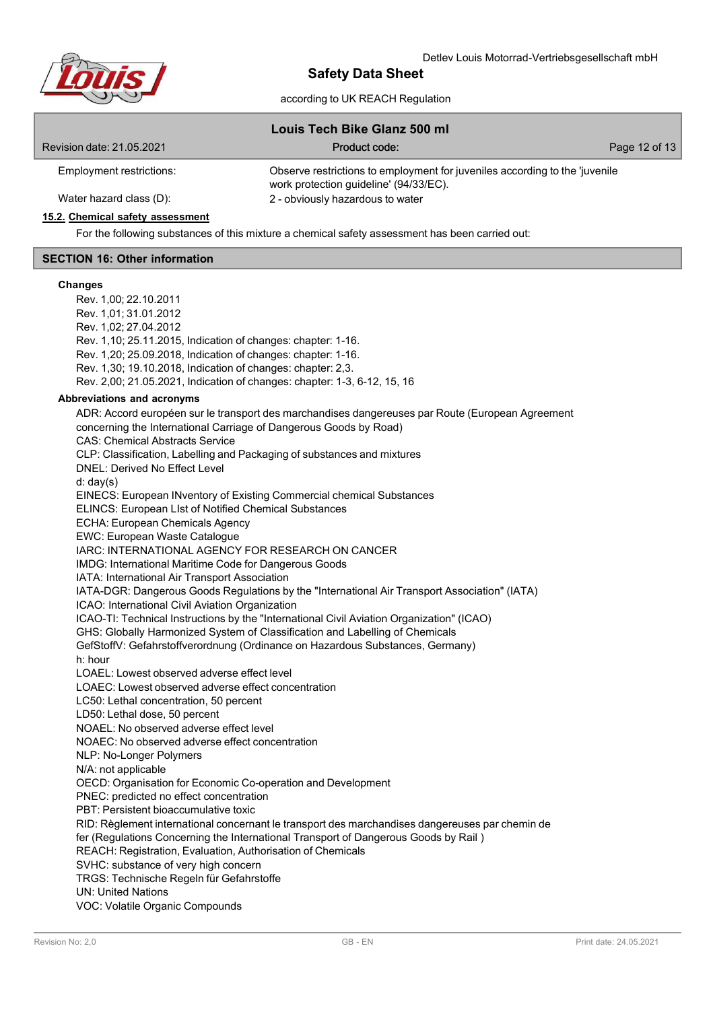

|                                                                   | according to UK REACH Regulation                                                                                      |               |  |  |
|-------------------------------------------------------------------|-----------------------------------------------------------------------------------------------------------------------|---------------|--|--|
| Louis Tech Bike Glanz 500 ml                                      |                                                                                                                       |               |  |  |
| Revision date: 21.05.2021                                         | Product code:                                                                                                         | Page 12 of 13 |  |  |
| Employment restrictions:                                          | Observe restrictions to employment for juveniles according to the 'juvenile<br>work protection guideline' (94/33/EC). |               |  |  |
| Water hazard class (D):                                           | 2 - obviously hazardous to water                                                                                      |               |  |  |
| 15.2. Chemical safety assessment                                  |                                                                                                                       |               |  |  |
|                                                                   | For the following substances of this mixture a chemical safety assessment has been carried out:                       |               |  |  |
| <b>SECTION 16: Other information</b>                              |                                                                                                                       |               |  |  |
| <b>Changes</b>                                                    |                                                                                                                       |               |  |  |
| Rev. 1,00; 22.10.2011                                             |                                                                                                                       |               |  |  |
| Rev. 1,01; 31.01.2012                                             |                                                                                                                       |               |  |  |
| Rev. 1,02; 27.04.2012                                             |                                                                                                                       |               |  |  |
| Rev. 1, 10; 25.11.2015, Indication of changes: chapter: 1-16.     |                                                                                                                       |               |  |  |
| Rev. 1,20; 25.09.2018, Indication of changes: chapter: 1-16.      |                                                                                                                       |               |  |  |
| Rev. 1,30; 19.10.2018, Indication of changes: chapter: 2,3.       |                                                                                                                       |               |  |  |
|                                                                   | Rev. 2,00; 21.05.2021, Indication of changes: chapter: 1-3, 6-12, 15, 16                                              |               |  |  |
| Abbreviations and acronyms                                        |                                                                                                                       |               |  |  |
|                                                                   | ADR: Accord européen sur le transport des marchandises dangereuses par Route (European Agreement                      |               |  |  |
| concerning the International Carriage of Dangerous Goods by Road) |                                                                                                                       |               |  |  |
| <b>CAS: Chemical Abstracts Service</b>                            |                                                                                                                       |               |  |  |

CLP: Classification, Labelling and Packaging of substances and mixtures

DNEL: Derived No Effect Level

d: day(s)

EINECS: European INventory of Existing Commercial chemical Substances

ELINCS: European LIst of Notified Chemical Substances

ECHA: European Chemicals Agency

EWC: European Waste Catalogue

IARC: INTERNATIONAL AGENCY FOR RESEARCH ON CANCER

IMDG: International Maritime Code for Dangerous Goods

IATA: International Air Transport Association

IATA-DGR: Dangerous Goods Regulations by the "International Air Transport Association" (IATA)

ICAO: International Civil Aviation Organization

ICAO-TI: Technical Instructions by the "International Civil Aviation Organization" (ICAO)

GHS: Globally Harmonized System of Classification and Labelling of Chemicals

GefStoffV: Gefahrstoffverordnung (Ordinance on Hazardous Substances, Germany)

h: hour

LOAEL: Lowest observed adverse effect level

LOAEC: Lowest observed adverse effect concentration

LC50: Lethal concentration, 50 percent

LD50: Lethal dose, 50 percent

NOAEL: No observed adverse effect level

NOAEC: No observed adverse effect concentration

NLP: No-Longer Polymers

N/A: not applicable

OECD: Organisation for Economic Co-operation and Development

PNEC: predicted no effect concentration

PBT: Persistent bioaccumulative toxic

RID: Règlement international concernant le transport des marchandises dangereuses par chemin de

fer (Regulations Concerning the International Transport of Dangerous Goods by Rail )

REACH: Registration, Evaluation, Authorisation of Chemicals

SVHC: substance of very high concern

TRGS: Technische Regeln für Gefahrstoffe

UN: United Nations

VOC: Volatile Organic Compounds